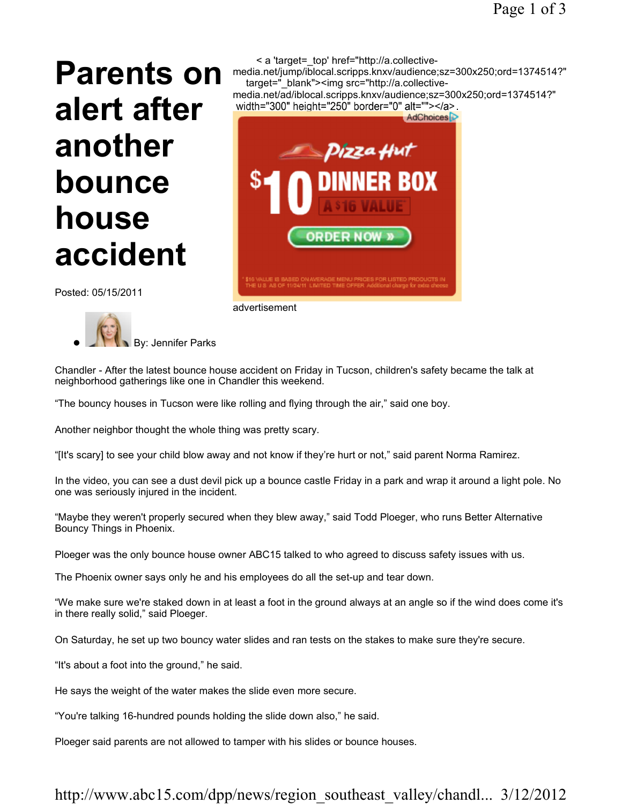# Parents on alert after another bounce house accident



Posted: 05/15/2011

By: Jennifer Parks

Chandler - After the latest bounce house accident on Friday in Tucson, children's safety became the talk at neighborhood gatherings like one in Chandler this weekend.

"The bouncy houses in Tucson were like rolling and flying through the air," said one boy.

advertisement

Another neighbor thought the whole thing was pretty scary.

"[It's scary] to see your child blow away and not know if they're hurt or not," said parent Norma Ramirez.

In the video, you can see a dust devil pick up a bounce castle Friday in a park and wrap it around a light pole. No one was seriously injured in the incident.

"Maybe they weren't properly secured when they blew away," said Todd Ploeger, who runs Better Alternative Bouncy Things in Phoenix.

Ploeger was the only bounce house owner ABC15 talked to who agreed to discuss safety issues with us.

The Phoenix owner says only he and his employees do all the set-up and tear down.

"We make sure we're staked down in at least a foot in the ground always at an angle so if the wind does come it's in there really solid," said Ploeger.

On Saturday, he set up two bouncy water slides and ran tests on the stakes to make sure they're secure.

"It's about a foot into the ground," he said.

He says the weight of the water makes the slide even more secure.

"You're talking 16-hundred pounds holding the slide down also," he said.

Ploeger said parents are not allowed to tamper with his slides or bounce houses.

## http://www.abc15.com/dpp/news/region\_southeast\_valley/chandl... 3/12/2012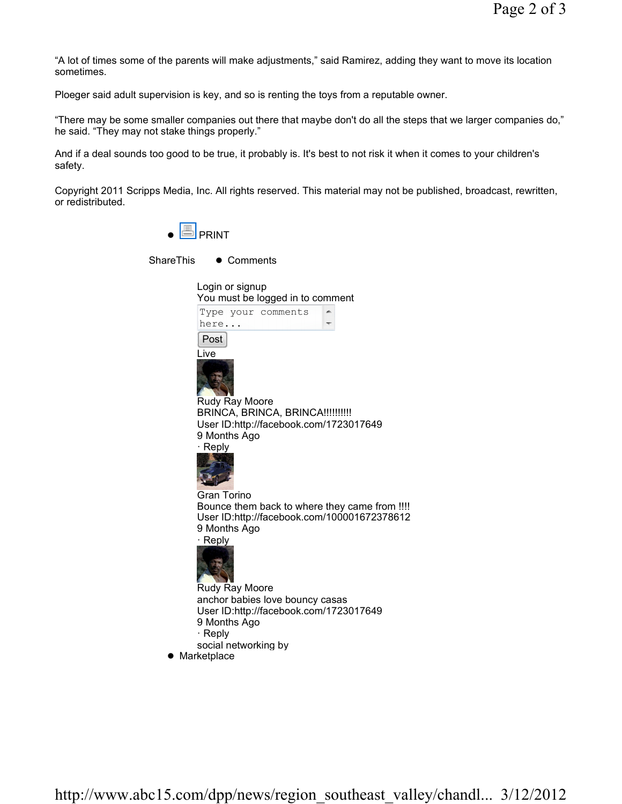"A lot of times some of the parents will make adjustments," said Ramirez, adding they want to move its location sometimes.

Ploeger said adult supervision is key, and so is renting the toys from a reputable owner.

"There may be some smaller companies out there that maybe don't do all the steps that we larger companies do," he said. "They may not stake things properly."

And if a deal sounds too good to be true, it probably is. It's best to not risk it when it comes to your children's safety.

Copyright 2011 Scripps Media, Inc. All rights reserved. This material may not be published, broadcast, rewritten, or redistributed.

 $\bullet$   $\Box$  PRINT

ShareThis • Comments

| Login or signup<br>You must be logged in to comment                                                                                          |
|----------------------------------------------------------------------------------------------------------------------------------------------|
| Type your comments<br>here                                                                                                                   |
| Post<br>Live                                                                                                                                 |
| Rudy Ray Moore                                                                                                                               |
| BRINCA, BRINCA, BRINCA!!!!!!!!!!<br>User ID:http://facebook.com/1723017649                                                                   |
| 9 Months Ago<br>$\cdot$ Reply                                                                                                                |
| Gran Torino<br>Bounce them back to where they came from !!!!<br>User ID:http://facebook.com/100001672378612<br>9 Months Ago<br>$\cdot$ Reply |
| Rudy Ray Moore                                                                                                                               |
| anchor babies love bouncy casas                                                                                                              |
| User ID:http://facebook.com/1723017649<br>9 Months Ago                                                                                       |
| $\cdot$ Reply                                                                                                                                |
| social networking by<br>$\bullet$ Marketplace                                                                                                |